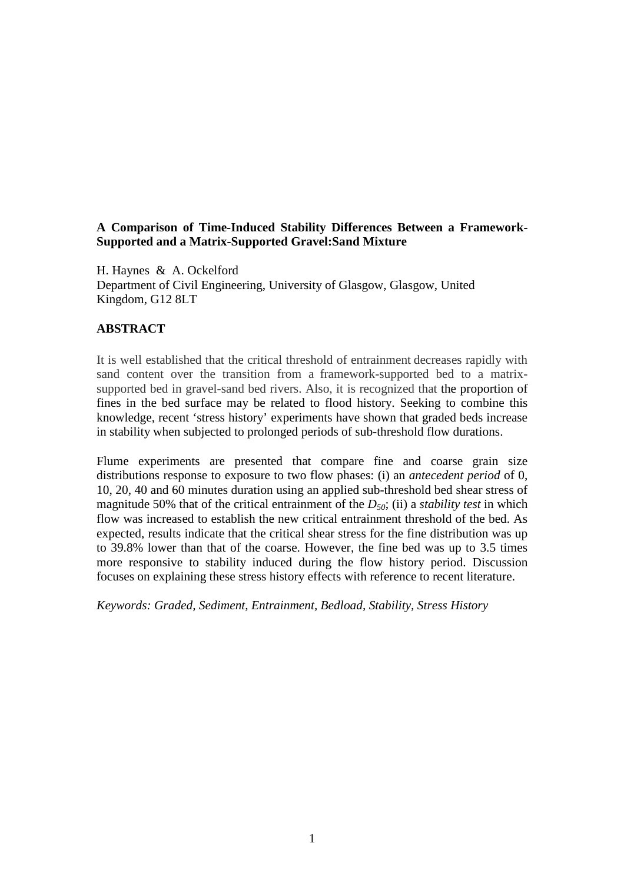## **A Comparison of Time-Induced Stability Differences Between a Framework-Supported and a Matrix-Supported Gravel:Sand Mixture**

H. Haynes & A. Ockelford Department of Civil Engineering, University of Glasgow, Glasgow, United Kingdom, G12 8LT

## **ABSTRACT**

It is well established that the critical threshold of entrainment decreases rapidly with sand content over the transition from a framework-supported bed to a matrixsupported bed in gravel-sand bed rivers. Also, it is recognized that the proportion of fines in the bed surface may be related to flood history. Seeking to combine this knowledge, recent 'stress history' experiments have shown that graded beds increase in stability when subjected to prolonged periods of sub-threshold flow durations.

Flume experiments are presented that compare fine and coarse grain size distributions response to exposure to two flow phases: (i) an *antecedent period* of 0, 10, 20, 40 and 60 minutes duration using an applied sub-threshold bed shear stress of magnitude 50% that of the critical entrainment of the *D50*; (ii) a *stability test* in which flow was increased to establish the new critical entrainment threshold of the bed. As expected, results indicate that the critical shear stress for the fine distribution was up to 39.8% lower than that of the coarse. However, the fine bed was up to 3.5 times more responsive to stability induced during the flow history period. Discussion focuses on explaining these stress history effects with reference to recent literature.

*Keywords: Graded, Sediment, Entrainment, Bedload, Stability, Stress History*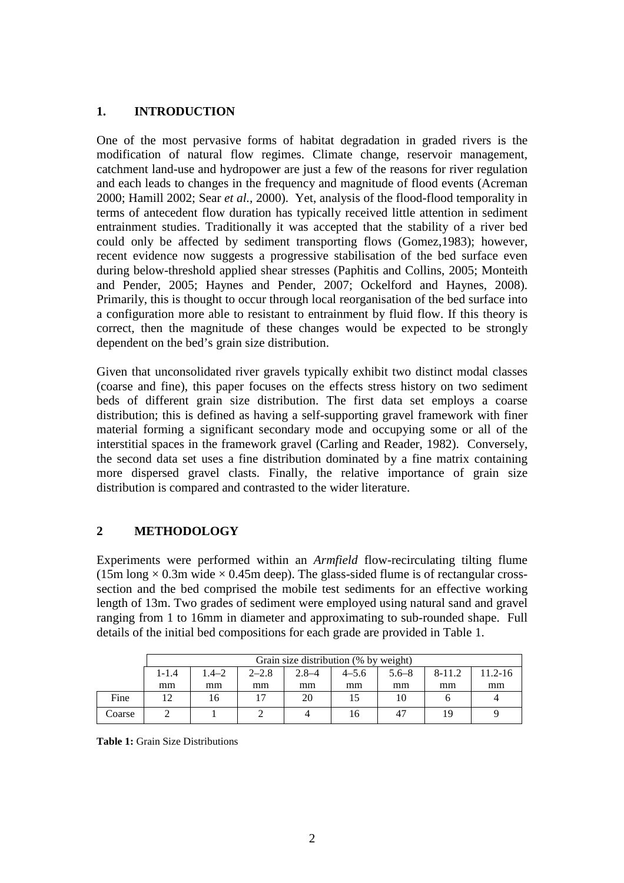## **1. INTRODUCTION**

One of the most pervasive forms of habitat degradation in graded rivers is the modification of natural flow regimes. Climate change, reservoir management, catchment land-use and hydropower are just a few of the reasons for river regulation and each leads to changes in the frequency and magnitude of flood events (Acreman 2000; Hamill 2002; Sear *et al.,* 2000). Yet, analysis of the flood-flood temporality in terms of antecedent flow duration has typically received little attention in sediment entrainment studies. Traditionally it was accepted that the stability of a river bed could only be affected by sediment transporting flows (Gomez,1983); however, recent evidence now suggests a progressive stabilisation of the bed surface even during below-threshold applied shear stresses (Paphitis and Collins, 2005; Monteith and Pender, 2005; Haynes and Pender, 2007; Ockelford and Haynes, 2008). Primarily, this is thought to occur through local reorganisation of the bed surface into a configuration more able to resistant to entrainment by fluid flow. If this theory is correct, then the magnitude of these changes would be expected to be strongly dependent on the bed's grain size distribution.

Given that unconsolidated river gravels typically exhibit two distinct modal classes (coarse and fine), this paper focuses on the effects stress history on two sediment beds of different grain size distribution. The first data set employs a coarse distribution; this is defined as having a self-supporting gravel framework with finer material forming a significant secondary mode and occupying some or all of the interstitial spaces in the framework gravel (Carling and Reader, 1982). Conversely, the second data set uses a fine distribution dominated by a fine matrix containing more dispersed gravel clasts. Finally, the relative importance of grain size distribution is compared and contrasted to the wider literature.

# **2 METHODOLOGY**

Experiments were performed within an *Armfield* flow-recirculating tilting flume (15m long  $\times$  0.3m wide  $\times$  0.45m deep). The glass-sided flume is of rectangular crosssection and the bed comprised the mobile test sediments for an effective working length of 13m. Two grades of sediment were employed using natural sand and gravel ranging from 1 to 16mm in diameter and approximating to sub-rounded shape. Full details of the initial bed compositions for each grade are provided in Table 1.

|        | Grain size distribution (% by weight) |       |           |           |           |           |        |         |
|--------|---------------------------------------|-------|-----------|-----------|-----------|-----------|--------|---------|
|        | $1 - 1.4$                             | 1.4–2 | $2 - 2.8$ | $2.8 - 4$ | $4 - 5.6$ | $5.6 - 8$ | 8-11.2 | 11.2-16 |
|        | mm                                    | mm    | mm        | mm        | mm        | mm        | mm     | mm      |
| Fine   |                                       | 16    |           | 20        |           |           |        |         |
| Coarse |                                       |       |           |           | 16        |           |        |         |

**Table 1:** Grain Size Distributions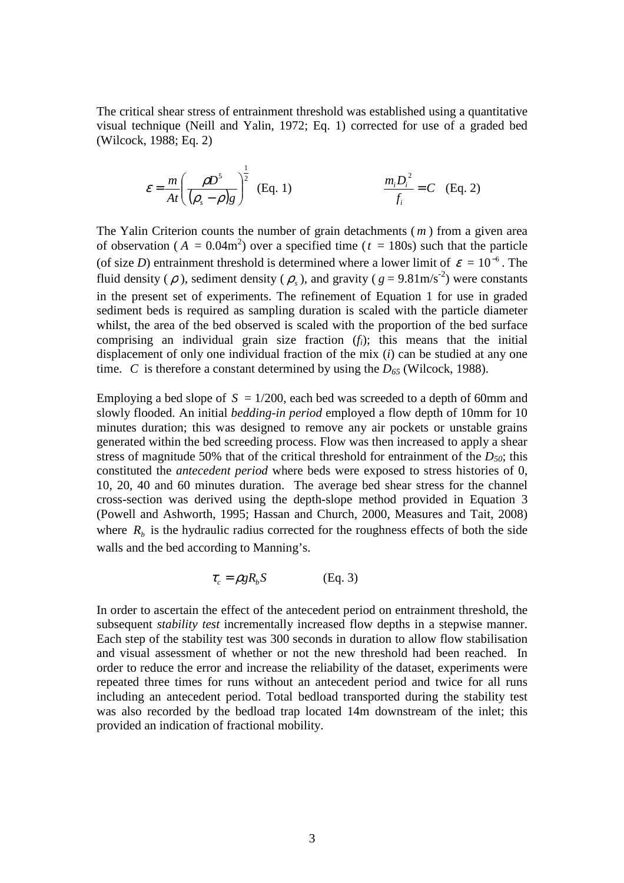The critical shear stress of entrainment threshold was established using a quantitative visual technique (Neill and Yalin, 1972; Eq. 1) corrected for use of a graded bed (Wilcock, 1988; Eq. 2)

$$
\varepsilon = \frac{m}{At} \left( \frac{\rho D^5}{(\rho_s - \rho)g} \right)^{\frac{1}{2}} \quad \text{(Eq. 1)} \qquad \frac{m_i D_i^2}{f_i} = C \quad \text{(Eq. 2)}
$$

The Yalin Criterion counts the number of grain detachments ( *m* ) from a given area of observation ( $A = 0.04$ m<sup>2</sup>) over a specified time ( $t = 180$ s) such that the particle (of size *D*) entrainment threshold is determined where a lower limit of  $\varepsilon = 10^{-6}$ . The fluid density ( $\rho$ ), sediment density ( $\rho_s$ ), and gravity ( $g = 9.81 \text{m/s}^{-2}$ ) were constants in the present set of experiments. The refinement of Equation 1 for use in graded sediment beds is required as sampling duration is scaled with the particle diameter whilst, the area of the bed observed is scaled with the proportion of the bed surface comprising an individual grain size fraction (*fi*); this means that the initial displacement of only one individual fraction of the mix (*i*) can be studied at any one time. *C* is therefore a constant determined by using the  $D_{65}$  (Wilcock, 1988).

Employing a bed slope of  $S = 1/200$ , each bed was screeded to a depth of 60mm and slowly flooded. An initial *bedding-in period* employed a flow depth of 10mm for 10 minutes duration; this was designed to remove any air pockets or unstable grains generated within the bed screeding process. Flow was then increased to apply a shear stress of magnitude 50% that of the critical threshold for entrainment of the *D50*; this constituted the *antecedent period* where beds were exposed to stress histories of 0, 10, 20, 40 and 60 minutes duration. The average bed shear stress for the channel cross-section was derived using the depth-slope method provided in Equation 3 (Powell and Ashworth, 1995; Hassan and Church, 2000, Measures and Tait, 2008) where  $R_b$  is the hydraulic radius corrected for the roughness effects of both the side walls and the bed according to Manning's.

$$
\tau_c = \rho g R_b S \tag{Eq. 3}
$$

In order to ascertain the effect of the antecedent period on entrainment threshold, the subsequent *stability test* incrementally increased flow depths in a stepwise manner. Each step of the stability test was 300 seconds in duration to allow flow stabilisation and visual assessment of whether or not the new threshold had been reached. In order to reduce the error and increase the reliability of the dataset, experiments were repeated three times for runs without an antecedent period and twice for all runs including an antecedent period. Total bedload transported during the stability test was also recorded by the bedload trap located 14m downstream of the inlet; this provided an indication of fractional mobility.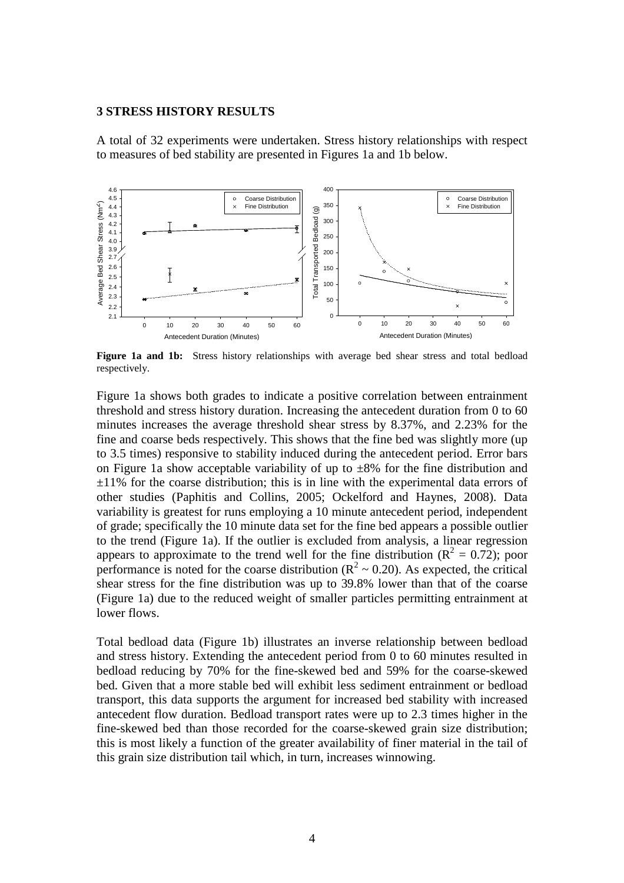### **3 STRESS HISTORY RESULTS**

A total of 32 experiments were undertaken. Stress history relationships with respect to measures of bed stability are presented in Figures 1a and 1b below.



**Figure 1a and 1b:** Stress history relationships with average bed shear stress and total bedload respectively.

Figure 1a shows both grades to indicate a positive correlation between entrainment threshold and stress history duration. Increasing the antecedent duration from 0 to 60 minutes increases the average threshold shear stress by 8.37%, and 2.23% for the fine and coarse beds respectively. This shows that the fine bed was slightly more (up to 3.5 times) responsive to stability induced during the antecedent period. Error bars on Figure 1a show acceptable variability of up to  $\pm 8\%$  for the fine distribution and  $\pm 11\%$  for the coarse distribution; this is in line with the experimental data errors of other studies (Paphitis and Collins, 2005; Ockelford and Haynes, 2008). Data variability is greatest for runs employing a 10 minute antecedent period, independent of grade; specifically the 10 minute data set for the fine bed appears a possible outlier to the trend (Figure 1a). If the outlier is excluded from analysis, a linear regression appears to approximate to the trend well for the fine distribution ( $\mathbb{R}^2 = 0.72$ ); poor performance is noted for the coarse distribution ( $R^2 \sim 0.20$ ). As expected, the critical shear stress for the fine distribution was up to 39.8% lower than that of the coarse (Figure 1a) due to the reduced weight of smaller particles permitting entrainment at lower flows.

Total bedload data (Figure 1b) illustrates an inverse relationship between bedload and stress history. Extending the antecedent period from 0 to 60 minutes resulted in bedload reducing by 70% for the fine-skewed bed and 59% for the coarse-skewed bed. Given that a more stable bed will exhibit less sediment entrainment or bedload transport, this data supports the argument for increased bed stability with increased antecedent flow duration. Bedload transport rates were up to 2.3 times higher in the fine-skewed bed than those recorded for the coarse-skewed grain size distribution; this is most likely a function of the greater availability of finer material in the tail of this grain size distribution tail which, in turn, increases winnowing.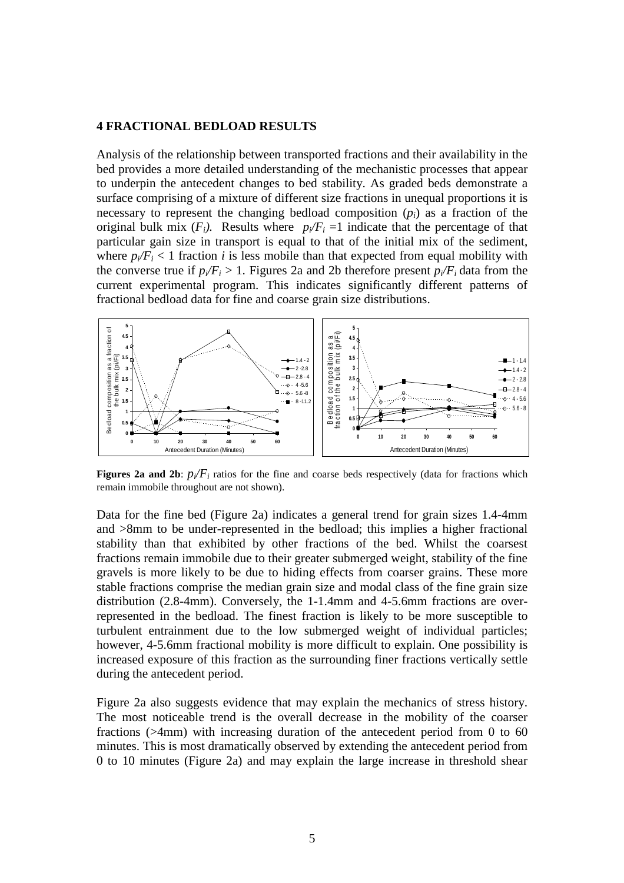## **4 FRACTIONAL BEDLOAD RESULTS**

Analysis of the relationship between transported fractions and their availability in the bed provides a more detailed understanding of the mechanistic processes that appear to underpin the antecedent changes to bed stability. As graded beds demonstrate a surface comprising of a mixture of different size fractions in unequal proportions it is necessary to represent the changing bedload composition (*pi*) as a fraction of the original bulk mix  $(F_i)$ . Results where  $p_i/F_i = 1$  indicate that the percentage of that particular gain size in transport is equal to that of the initial mix of the sediment, where  $p_i/F_i$  < 1 fraction *i* is less mobile than that expected from equal mobility with the converse true if  $p_i/F_i > 1$ . Figures 2a and 2b therefore present  $p_i/F_i$  data from the current experimental program. This indicates significantly different patterns of fractional bedload data for fine and coarse grain size distributions.



**Figures 2a and 2b:**  $p_i/F_i$  ratios for the fine and coarse beds respectively (data for fractions which remain immobile throughout are not shown).

Data for the fine bed (Figure 2a) indicates a general trend for grain sizes 1.4-4mm and >8mm to be under-represented in the bedload; this implies a higher fractional stability than that exhibited by other fractions of the bed. Whilst the coarsest fractions remain immobile due to their greater submerged weight, stability of the fine gravels is more likely to be due to hiding effects from coarser grains. These more stable fractions comprise the median grain size and modal class of the fine grain size distribution (2.8-4mm). Conversely, the 1-1.4mm and 4-5.6mm fractions are overrepresented in the bedload. The finest fraction is likely to be more susceptible to turbulent entrainment due to the low submerged weight of individual particles; however, 4-5.6mm fractional mobility is more difficult to explain. One possibility is increased exposure of this fraction as the surrounding finer fractions vertically settle during the antecedent period.

Figure 2a also suggests evidence that may explain the mechanics of stress history. The most noticeable trend is the overall decrease in the mobility of the coarser fractions (>4mm) with increasing duration of the antecedent period from 0 to 60 minutes. This is most dramatically observed by extending the antecedent period from 0 to 10 minutes (Figure 2a) and may explain the large increase in threshold shear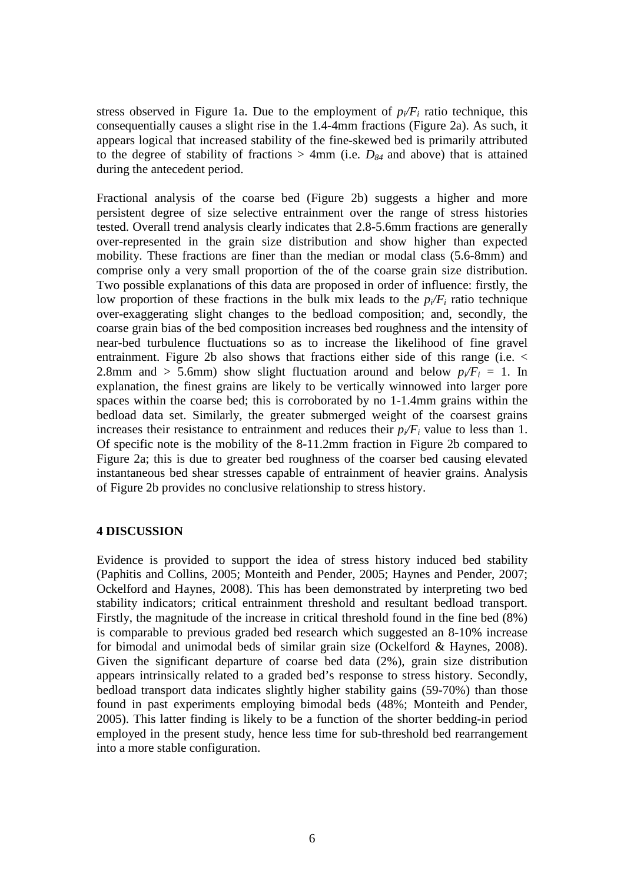stress observed in Figure 1a. Due to the employment of  $p_i/F_i$  ratio technique, this consequentially causes a slight rise in the 1.4-4mm fractions (Figure 2a). As such, it appears logical that increased stability of the fine-skewed bed is primarily attributed to the degree of stability of fractions  $> 4$ mm (i.e.  $D_{84}$  and above) that is attained during the antecedent period.

Fractional analysis of the coarse bed (Figure 2b) suggests a higher and more persistent degree of size selective entrainment over the range of stress histories tested. Overall trend analysis clearly indicates that 2.8-5.6mm fractions are generally over-represented in the grain size distribution and show higher than expected mobility. These fractions are finer than the median or modal class (5.6-8mm) and comprise only a very small proportion of the of the coarse grain size distribution. Two possible explanations of this data are proposed in order of influence: firstly, the low proportion of these fractions in the bulk mix leads to the  $p_i/F_i$  ratio technique over-exaggerating slight changes to the bedload composition; and, secondly, the coarse grain bias of the bed composition increases bed roughness and the intensity of near-bed turbulence fluctuations so as to increase the likelihood of fine gravel entrainment. Figure 2b also shows that fractions either side of this range (i.e. < 2.8mm and  $> 5.6$ mm) show slight fluctuation around and below  $p_i/F_i = 1$ . In explanation, the finest grains are likely to be vertically winnowed into larger pore spaces within the coarse bed; this is corroborated by no 1-1.4mm grains within the bedload data set. Similarly, the greater submerged weight of the coarsest grains increases their resistance to entrainment and reduces their  $p_i/F_i$  value to less than 1. Of specific note is the mobility of the 8-11.2mm fraction in Figure 2b compared to Figure 2a; this is due to greater bed roughness of the coarser bed causing elevated instantaneous bed shear stresses capable of entrainment of heavier grains. Analysis of Figure 2b provides no conclusive relationship to stress history.

## **4 DISCUSSION**

Evidence is provided to support the idea of stress history induced bed stability (Paphitis and Collins, 2005; Monteith and Pender, 2005; Haynes and Pender, 2007; Ockelford and Haynes, 2008). This has been demonstrated by interpreting two bed stability indicators; critical entrainment threshold and resultant bedload transport. Firstly, the magnitude of the increase in critical threshold found in the fine bed (8%) is comparable to previous graded bed research which suggested an 8-10% increase for bimodal and unimodal beds of similar grain size (Ockelford & Haynes, 2008). Given the significant departure of coarse bed data (2%), grain size distribution appears intrinsically related to a graded bed's response to stress history. Secondly, bedload transport data indicates slightly higher stability gains (59-70%) than those found in past experiments employing bimodal beds (48%; Monteith and Pender, 2005). This latter finding is likely to be a function of the shorter bedding-in period employed in the present study, hence less time for sub-threshold bed rearrangement into a more stable configuration.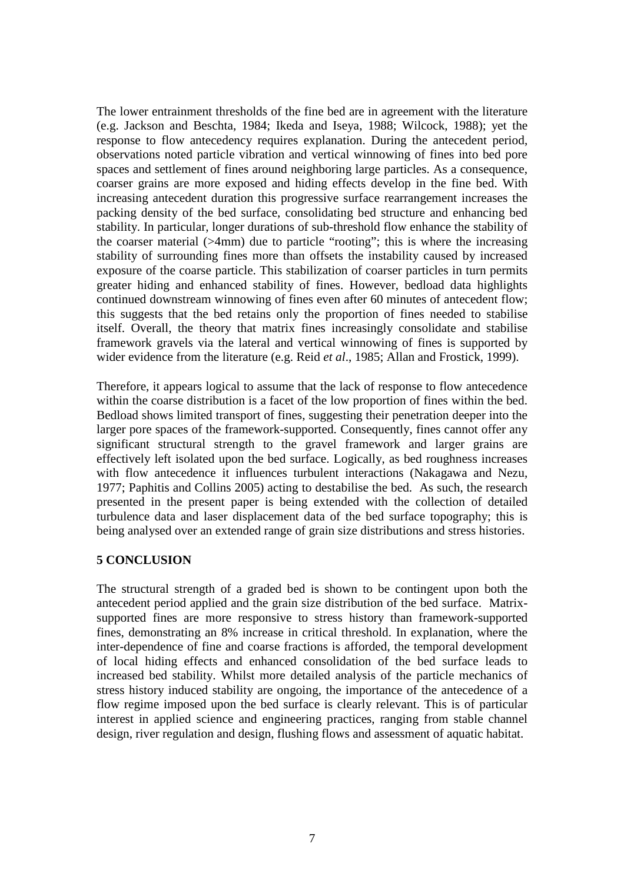The lower entrainment thresholds of the fine bed are in agreement with the literature (e.g. Jackson and Beschta, 1984; Ikeda and Iseya, 1988; Wilcock, 1988); yet the response to flow antecedency requires explanation. During the antecedent period, observations noted particle vibration and vertical winnowing of fines into bed pore spaces and settlement of fines around neighboring large particles. As a consequence, coarser grains are more exposed and hiding effects develop in the fine bed. With increasing antecedent duration this progressive surface rearrangement increases the packing density of the bed surface, consolidating bed structure and enhancing bed stability. In particular, longer durations of sub-threshold flow enhance the stability of the coarser material (>4mm) due to particle "rooting"; this is where the increasing stability of surrounding fines more than offsets the instability caused by increased exposure of the coarse particle. This stabilization of coarser particles in turn permits greater hiding and enhanced stability of fines. However, bedload data highlights continued downstream winnowing of fines even after 60 minutes of antecedent flow; this suggests that the bed retains only the proportion of fines needed to stabilise itself. Overall, the theory that matrix fines increasingly consolidate and stabilise framework gravels via the lateral and vertical winnowing of fines is supported by wider evidence from the literature (e.g. Reid *et al*., 1985; Allan and Frostick, 1999).

Therefore, it appears logical to assume that the lack of response to flow antecedence within the coarse distribution is a facet of the low proportion of fines within the bed. Bedload shows limited transport of fines, suggesting their penetration deeper into the larger pore spaces of the framework-supported. Consequently, fines cannot offer any significant structural strength to the gravel framework and larger grains are effectively left isolated upon the bed surface. Logically, as bed roughness increases with flow antecedence it influences turbulent interactions (Nakagawa and Nezu, 1977; Paphitis and Collins 2005) acting to destabilise the bed. As such, the research presented in the present paper is being extended with the collection of detailed turbulence data and laser displacement data of the bed surface topography; this is being analysed over an extended range of grain size distributions and stress histories.

## **5 CONCLUSION**

The structural strength of a graded bed is shown to be contingent upon both the antecedent period applied and the grain size distribution of the bed surface. Matrixsupported fines are more responsive to stress history than framework-supported fines, demonstrating an 8% increase in critical threshold. In explanation, where the inter-dependence of fine and coarse fractions is afforded, the temporal development of local hiding effects and enhanced consolidation of the bed surface leads to increased bed stability. Whilst more detailed analysis of the particle mechanics of stress history induced stability are ongoing, the importance of the antecedence of a flow regime imposed upon the bed surface is clearly relevant. This is of particular interest in applied science and engineering practices, ranging from stable channel design, river regulation and design, flushing flows and assessment of aquatic habitat.